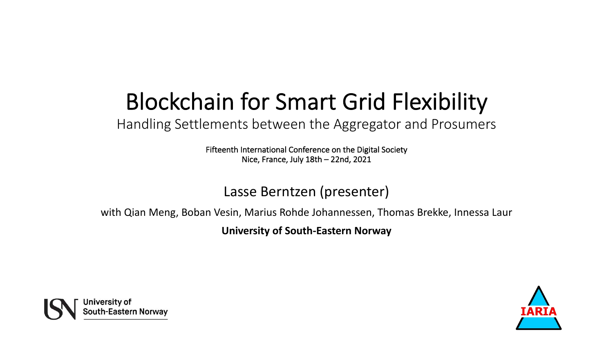## Blockchain for Smart Grid Flexibility

Handling Settlements between the Aggregator and Prosumers

Fifteenth International Conference on the Digital Society Nice, France, July 18th – 22nd, 2021

#### Lasse Berntzen (presenter)

with Qian Meng, Boban Vesin, Marius Rohde Johannessen, Thomas Brekke, Innessa Laur

**University of South-Eastern Norway**



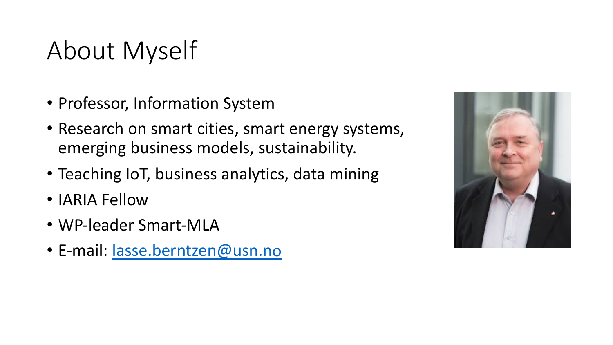# About Myself

- Professor, Information System
- Research on smart cities, smart energy systems, emerging business models, sustainability.
- Teaching IoT, business analytics, data mining
- IARIA Fellow
- WP-leader Smart-MLA
- E-mail: [lasse.berntzen@usn.no](mailto:lasse.berntzen@usn.no)

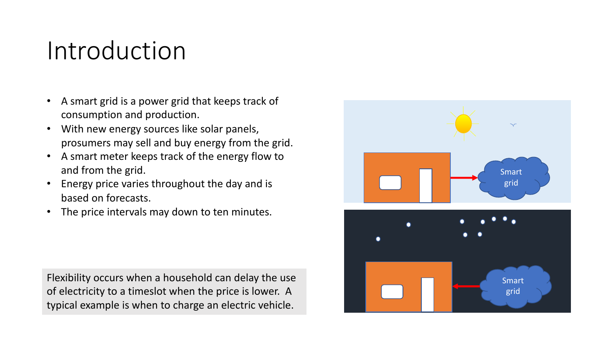### Introduction

- A smart grid is a power grid that keeps track of consumption and production.
- With new energy sources like solar panels, prosumers may sell and buy energy from the grid.
- A smart meter keeps track of the energy flow to and from the grid.
- Energy price varies throughout the day and is based on forecasts.
- The price intervals may down to ten minutes.

Flexibility occurs when a household can delay the use of electricity to a timeslot when the price is lower. A typical example is when to charge an electric vehicle.

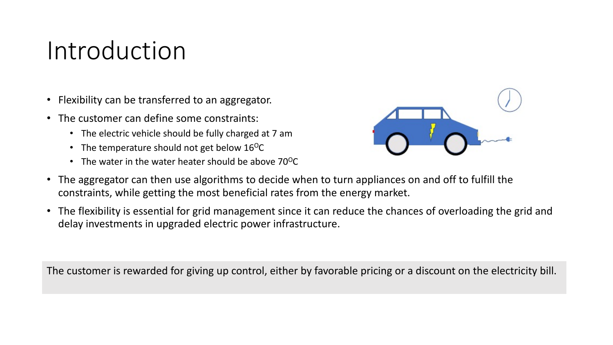#### Introduction

- Flexibility can be transferred to an aggregator.
- The customer can define some constraints:
	- The electric vehicle should be fully charged at 7 am
	- The temperature should not get below  $16^{\circ}$ C
	- The water in the water heater should be above  $70^{\circ}$ C



- The aggregator can then use algorithms to decide when to turn appliances on and off to fulfill the constraints, while getting the most beneficial rates from the energy market.
- The flexibility is essential for grid management since it can reduce the chances of overloading the grid and delay investments in upgraded electric power infrastructure.

The customer is rewarded for giving up control, either by favorable pricing or a discount on the electricity bill.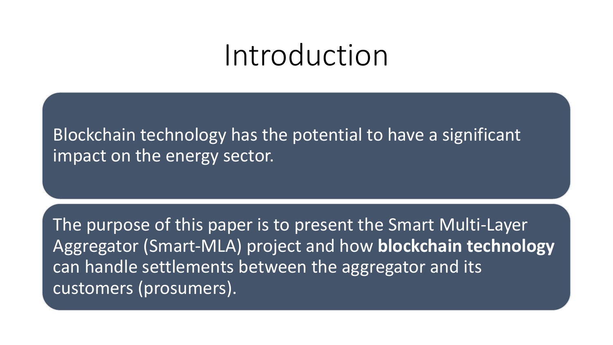# Introduction

Blockchain technology has the potential to have a significant impact on the energy sector.

The purpose of this paper is to present the Smart Multi-Layer Aggregator (Smart-MLA) project and how **blockchain technology** can handle settlements between the aggregator and its customers (prosumers).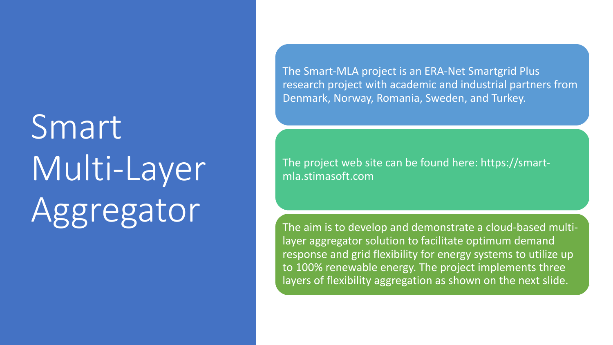# Smart Multi-Layer Aggregator

The Smart-MLA project is an ERA-Net Smartgrid Plus research project with academic and industrial partners from Denmark, Norway, Romania, Sweden, and Turkey.

The project web site can be found here: https://smartmla.stimasoft.com

The aim is to develop and demonstrate a cloud-based multilayer aggregator solution to facilitate optimum demand response and grid flexibility for energy systems to utilize up to 100% renewable energy. The project implements three layers of flexibility aggregation as shown on the next slide.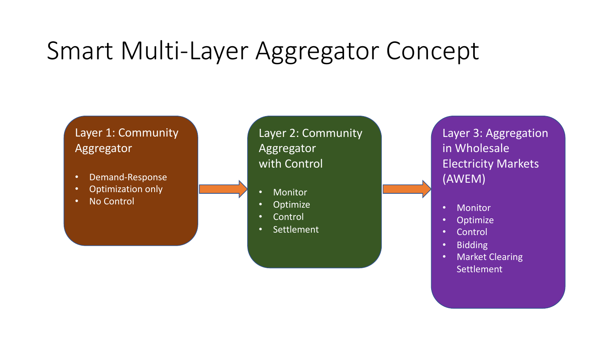#### Layer 1: Community Aggregator

- Demand-Response
- Optimization only
- No Control

Layer 2: Community Aggregator with Control

- **Monitor**
- Optimize
- **Control**
- Settlement

Layer 3: Aggregation in Wholesale Electricity Markets (AWEM)

- **Monitor**
- **Optimize**
- Control
- Bidding
- Market Clearing Settlement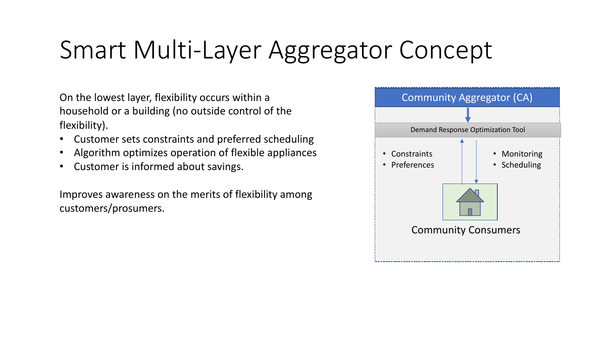On the lowest layer, flexibility occurs within a household or a building (no outside control of the flexibility).

- Customer sets constraints and preferred scheduling
- Algorithm optimizes operation of flexible appliances
- Customer is informed about savings.

Improves awareness on the merits of flexibility among customers/prosumers.

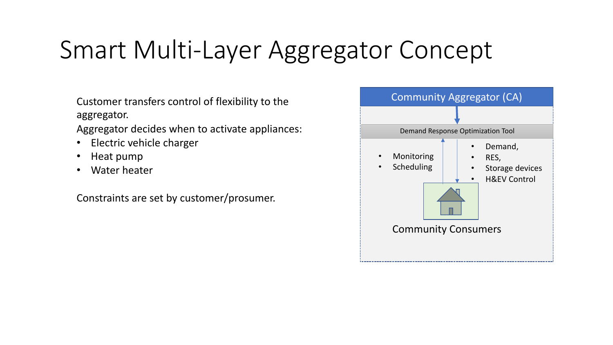- Customer transfers control of flexibility to the aggregator.
- Aggregator decides when to activate appliances:
- Electric vehicle charger
- Heat pump
- Water heater

Constraints are set by customer/prosumer.

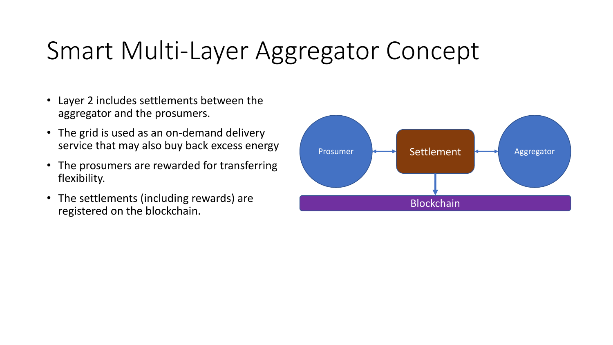- Layer 2 includes settlements between the aggregator and the prosumers.
- The grid is used as an on-demand delivery service that may also buy back excess energy
- The prosumers are rewarded for transferring flexibility.
- The settlements (including rewards) are registered on the blockchain.

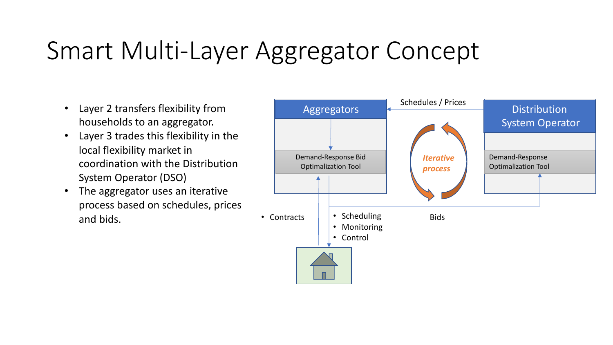- Layer 2 transfers flexibility from households to an aggregator.
- Layer 3 trades this flexibility in the local flexibility market in coordination with the Distribution System Operator (DSO)
- The aggregator uses an iterative process based on schedules, prices and bids.

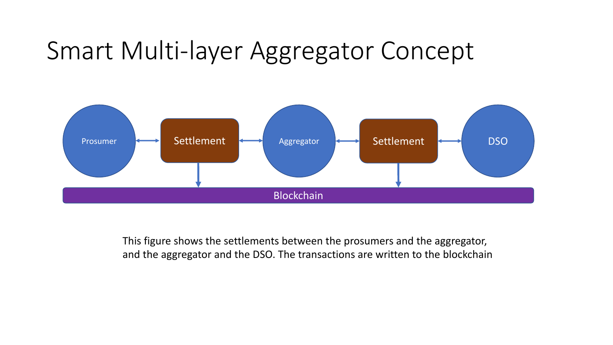

This figure shows the settlements between the prosumers and the aggregator, and the aggregator and the DSO. The transactions are written to the blockchain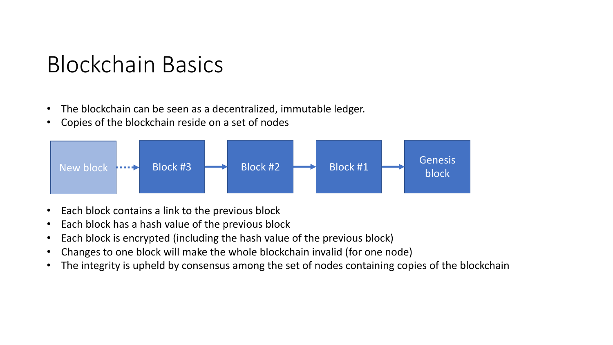#### Blockchain Basics

- The blockchain can be seen as a decentralized, immutable ledger.
- Copies of the blockchain reside on a set of nodes



- Each block contains a link to the previous block
- Each block has a hash value of the previous block
- Each block is encrypted (including the hash value of the previous block)
- Changes to one block will make the whole blockchain invalid (for one node)
- The integrity is upheld by consensus among the set of nodes containing copies of the blockchain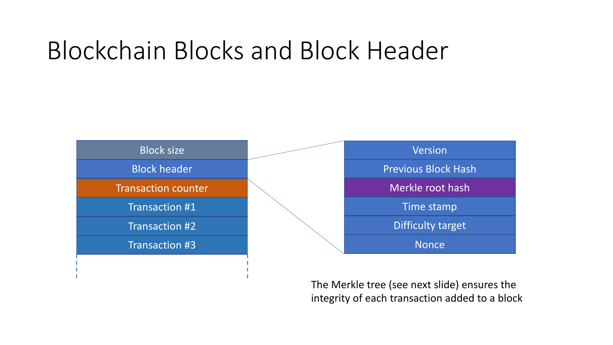# Blockchain Blocks and Block Header



The Merkle tree (see next slide) ensures the integrity of each transaction added to a block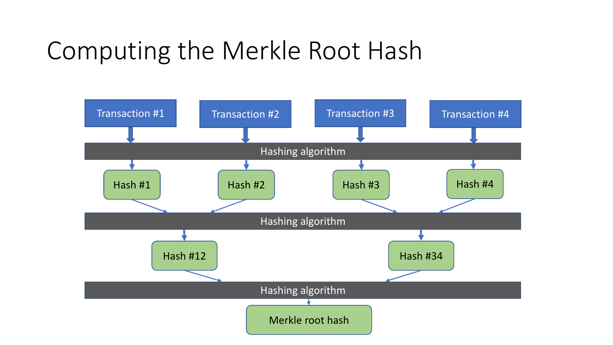# Computing the Merkle Root Hash

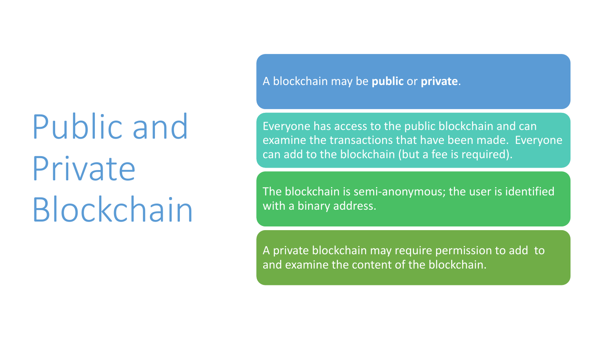Public and Private Blockchain A blockchain may be **public** or **private**.

Everyone has access to the public blockchain and can examine the transactions that have been made. Everyone can add to the blockchain (but a fee is required).

The blockchain is semi-anonymous; the user is identified with a binary address.

A private blockchain may require permission to add to and examine the content of the blockchain.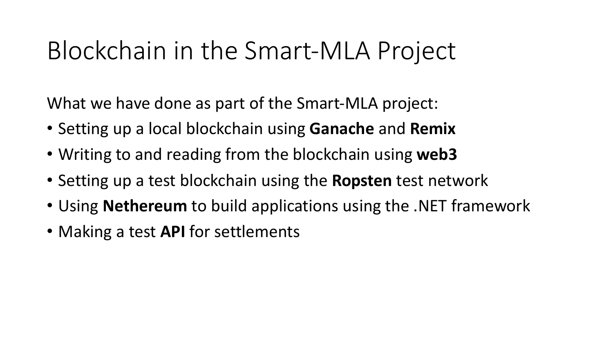## Blockchain in the Smart-MLA Project

What we have done as part of the Smart-MLA project:

- Setting up a local blockchain using **Ganache** and **Remix**
- Writing to and reading from the blockchain using **web3**
- Setting up a test blockchain using the **Ropsten** test network
- Using **Nethereum** to build applications using the .NET framework
- Making a test **API** for settlements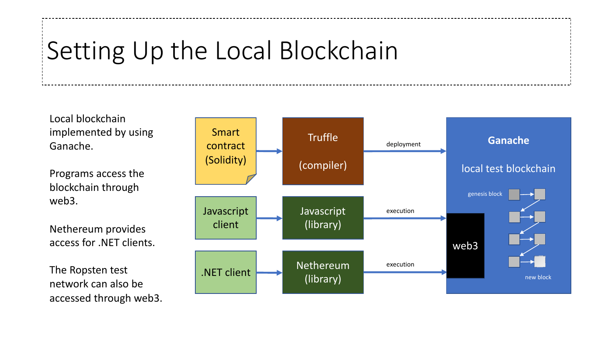# Setting Up the Local Blockchain

Local blockchain implemented by using Ganache.

Programs access the blockchain through web3.

Nethereum provides access for .NET clients.

The Ropsten test network can also be accessed through web3.

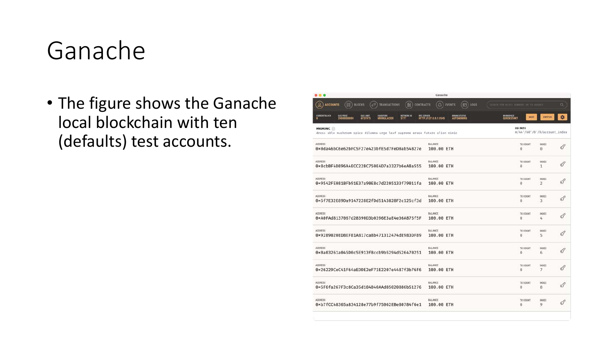### Ganache

• The figure shows the Ganache local blockchain with ten (defaults) test accounts.

| $\bullet$ $\bullet$                                                                                                                                               | Ganache                      |                                    |                                              |                              |               |
|-------------------------------------------------------------------------------------------------------------------------------------------------------------------|------------------------------|------------------------------------|----------------------------------------------|------------------------------|---------------|
| َع<br>個<br>as)<br>Ó<br><b>ACCOUNTS</b><br><b>BLOCKS</b><br><b>CONTRACTS</b><br><b>TRANSACTIONS</b>                                                                |                              | ⊟<br><b>LOGS</b><br><b>EVENTS</b>  | <b>SEARCH FOR BLOCK MUNDERS OF TX RASHES</b> |                              | a.            |
| <b>CURRENT BLOCK</b><br><b>GAS FRICE</b><br>GAS LIMIT<br><b>METWORK ID</b><br><b>RPC SERVER</b><br>HARDFORK<br>MUURGLACIER<br>20000000000<br>۰<br>6721975<br>5777 | HTTP:0127.0.0.1:8545         | MINING STATUS<br><b>AUTOMINING</b> | WORKSPACE<br>SAVE<br><b>QUICKSTART</b>       | <b>SWITCH</b>                | $\bullet$     |
| <b>MNEMONIC</b><br>dress able mushroom spice dilemma urge leaf supreme erase future alien mimic                                                                   |                              |                                    | HD PATH                                      | m/44'/60'/0'/0/account_index |               |
| <b>ADDRESS</b><br>0x0da46bC6e62bFC5F27e423bfE5d7FeD0ab54B27e                                                                                                      | BALANCE<br>100.00 ETH        |                                    | TX COUNT<br>$\Theta$                         | INDEX<br>$\Theta$            | $\mathscr G$  |
| ADDRESS<br>0×8cbBF4D896A4ECC22BC750E4D7a3327b6eA8a555                                                                                                             | BALANCE<br>100.00 ETH        |                                    | TX COUNT<br>$\Theta$                         | <b>INDEX</b><br>$\mathbf{1}$ | 8             |
| ADDRESS<br>0×9542FE081BFb91E37a90E8c7d2205133f79011fa                                                                                                             | BALANCE<br>100.00 ETH        |                                    | TX COUNT<br>0                                | <b>INDEX</b><br>2            | 8             |
| ADDRESS<br>0×5f7E32E89Da9147228E2fDd5143828F2c125cf3d                                                                                                             | BALANCE<br>100.00 ETH        |                                    | TX COUNT<br>0                                | <b>INDEX</b><br>3            | 8             |
| <b>ADDRESS</b><br>0×A0FAd8137067d28390D3b0396E3aE4e36A875f5F                                                                                                      | BALANCE<br>100.00 ETH        |                                    | TX COUNT<br>0                                | <b>INDEX</b><br>4            | 8             |
| <b>ADDRESS</b><br>0×9289020ED8EF81A817ca8b471312474dE983DF89                                                                                                      | BALANCE<br>100.00 ETH        |                                    | TX COUNT<br>Θ                                | <b>INDEX</b><br>5            | 8             |
| ADDRESS<br>0xBa03261a045D0c5E913f8ccb9b5294d526470251                                                                                                             | BALANCE<br>100.00 ETH        |                                    | TX COUNT<br>$\Theta$                         | INDEX<br>6                   | 8             |
| ADDRESS<br>0x26229CeC41F64aEDDE2eF71E2207e4487f3b76F6                                                                                                             | <b>BALANCE</b><br>100.00 ETH |                                    | TX COUNT<br>Θ                                | <b>INDEX</b><br>7            | P             |
| ADDRESS<br>0x5F6fa267F3c8Ca35d184B40AAd85020886b51276                                                                                                             | BALANCE<br>100.00 ETH        |                                    | TX COUNT<br>0                                | <b>INDEX</b><br>8            | $\mathscr G$  |
| ADDRESS<br>0xb7fCC48365a834128e77b9f75062EBe80784f6e1                                                                                                             | BALANCE<br>100.00 ETH        |                                    | TX COUNT<br>$\Theta$                         | <b>INDEX</b><br>9            | $\mathscr{O}$ |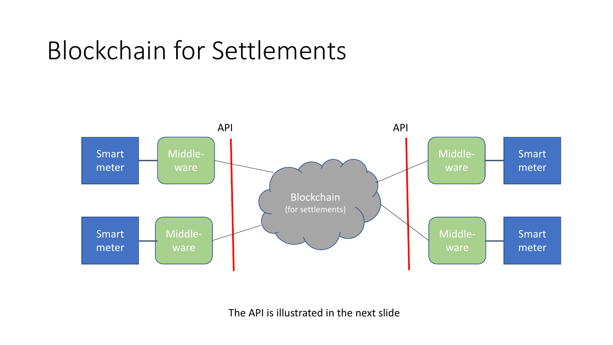# Blockchain for Settlements



The API is illustrated in the next slide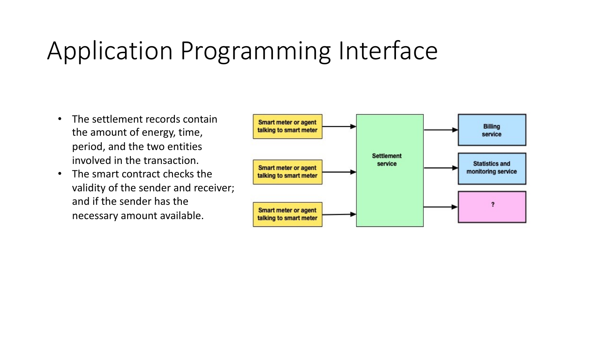# Application Programming Interface

- The settlement records contain the amount of energy, time, period, and the two entities involved in the transaction.
- The smart contract checks the validity of the sender and receiver; and if the sender has the necessary amount available.

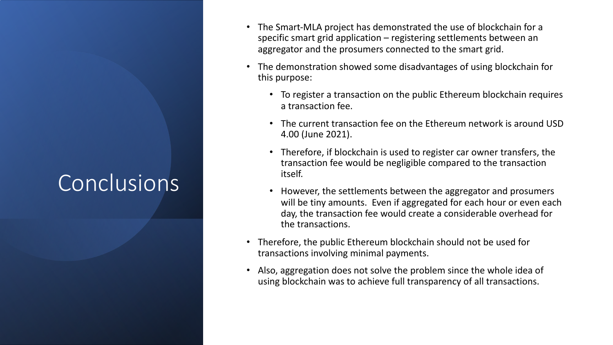### **Conclusions**

- The Smart-MLA project has demonstrated the use of blockchain for a specific smart grid application – registering settlements between an aggregator and the prosumers connected to the smart grid.
- The demonstration showed some disadvantages of using blockchain for this purpose:
	- To register a transaction on the public Ethereum blockchain requires a transaction fee.
	- The current transaction fee on the Ethereum network is around USD 4.00 (June 2021).
	- Therefore, if blockchain is used to register car owner transfers, the transaction fee would be negligible compared to the transaction itself.
	- However, the settlements between the aggregator and prosumers will be tiny amounts. Even if aggregated for each hour or even each day, the transaction fee would create a considerable overhead for the transactions.
- Therefore, the public Ethereum blockchain should not be used for transactions involving minimal payments.
- Also, aggregation does not solve the problem since the whole idea of using blockchain was to achieve full transparency of all transactions.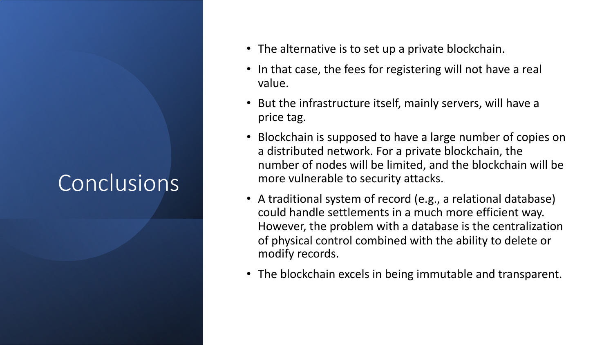#### Conclusions

- The alternative is to set up a private blockchain.
- In that case, the fees for registering will not have a real value.
- But the infrastructure itself, mainly servers, will have a price tag.
- Blockchain is supposed to have a large number of copies on a distributed network. For a private blockchain, the number of nodes will be limited, and the blockchain will be more vulnerable to security attacks.
- A traditional system of record (e.g., a relational database) could handle settlements in a much more efficient way. However, the problem with a database is the centralization of physical control combined with the ability to delete or modify records.
- The blockchain excels in being immutable and transparent.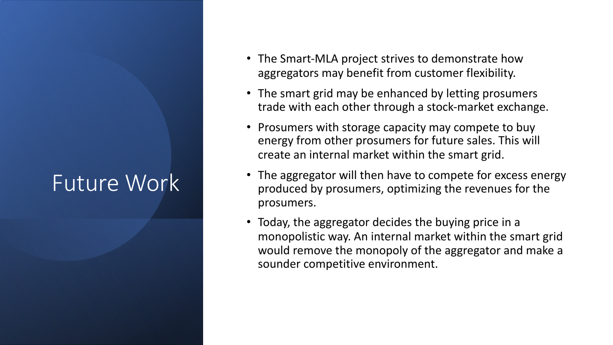#### Future Work

- The Smart-MLA project strives to demonstrate how aggregators may benefit from customer flexibility.
- The smart grid may be enhanced by letting prosumers trade with each other through a stock-market exchange.
- Prosumers with storage capacity may compete to buy energy from other prosumers for future sales. This will create an internal market within the smart grid.
- The aggregator will then have to compete for excess energy produced by prosumers, optimizing the revenues for the prosumers.
- Today, the aggregator decides the buying price in a monopolistic way. An internal market within the smart grid would remove the monopoly of the aggregator and make a sounder competitive environment.